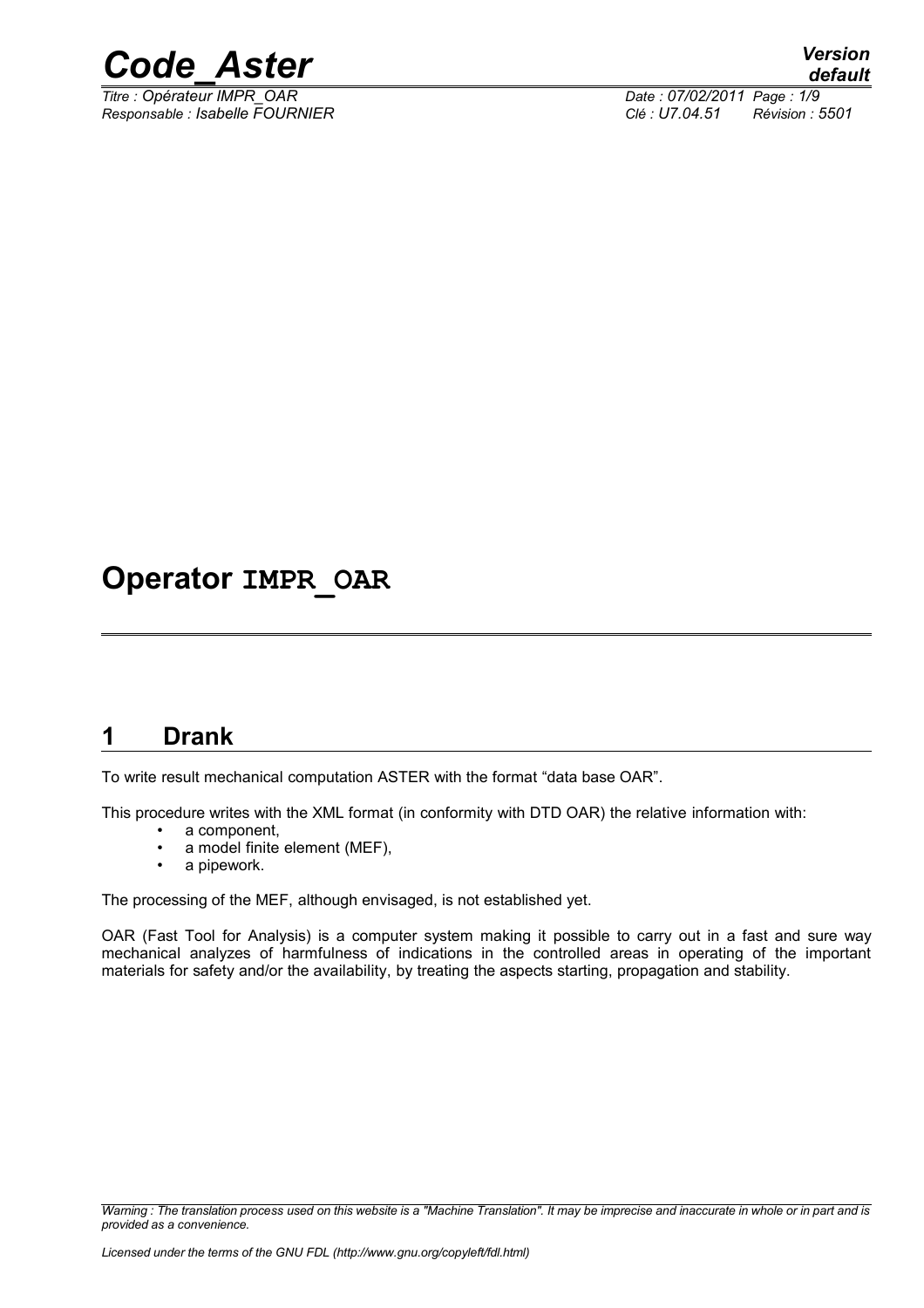

*Titre : Opérateur IMPR\_OAR Date : 07/02/2011 Page : 1/9 Responsable : Isabelle FOURNIER Clé : U7.04.51 Révision : 5501*

# **Operator IMPR\_OAR**

# **1 Drank**

To write result mechanical computation ASTER with the format "data base OAR".

This procedure writes with the XML format (in conformity with DTD OAR) the relative information with:

- a component,<br>• a model finite
- a model finite element (MEF),<br>• a ninework
- a pipework.

The processing of the MEF, although envisaged, is not established yet.

OAR (Fast Tool for Analysis) is a computer system making it possible to carry out in a fast and sure way mechanical analyzes of harmfulness of indications in the controlled areas in operating of the important materials for safety and/or the availability, by treating the aspects starting, propagation and stability.

*Warning : The translation process used on this website is a "Machine Translation". It may be imprecise and inaccurate in whole or in part and is provided as a convenience.*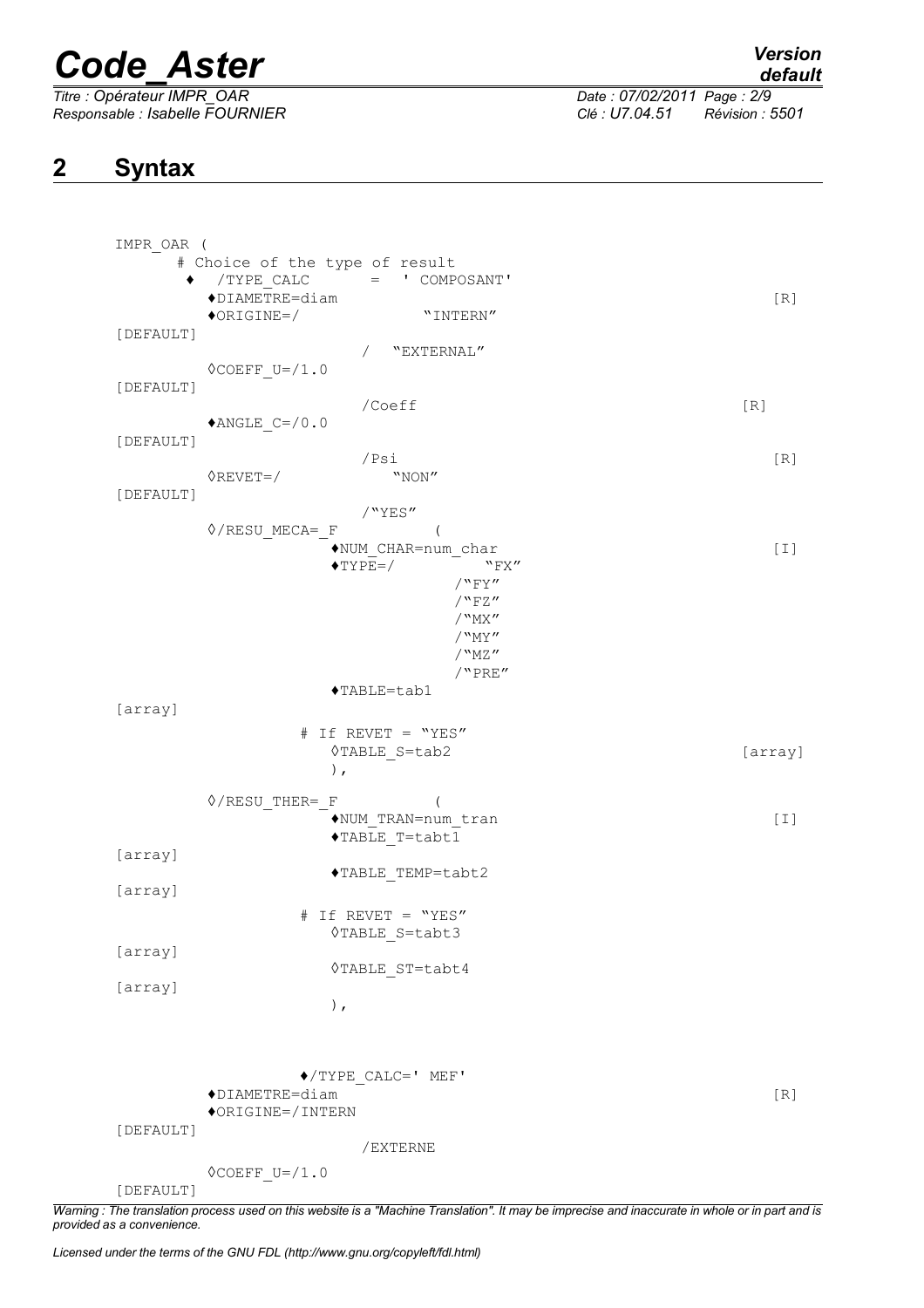*Titre : Opérateur IMPR\_OAR Date : 07/02/2011 Page : 2/9*

*Responsable : Isabelle FOURNIER Clé : U7.04.51 Révision : 5501*

# **2 Syntax**

| IMPR OAR ( |                                                                   |         |
|------------|-------------------------------------------------------------------|---------|
|            | # Choice of the type of result                                    |         |
|            | $=$ ' COMPOSANT'<br>/TYPE_CALC                                    |         |
|            | $\blacklozenge$ DIAMETRE=diam<br>$\lozenge$ ORIGINE=/<br>"INTERN" | [R]     |
| [DEFAULT]  |                                                                   |         |
|            | / "EXTERNAL"                                                      |         |
|            | $\Diamond$ COEFF_U=/1.0                                           |         |
| [DEFAULT]  |                                                                   |         |
|            | /Coeff                                                            | [R]     |
|            | $*$ ANGLE_C=/0.0                                                  |         |
| [DEFAULT]  |                                                                   |         |
|            | /Psi<br>$\Diamond$ REVET=/<br>"NON"                               | [R]     |
| [DEFAULT]  |                                                                   |         |
|            | /"YES"                                                            |         |
|            | $\Diamond$ /RESU_MECA=_F                                          |         |
|            | ◆NUM CHAR=num char                                                | [I]     |
|            | $\blacklozenge$ TYPE=/<br>"FX"                                    |         |
|            | $/$ "FY"                                                          |         |
|            | $/$ "FZ"                                                          |         |
|            | $/$ "MX"<br>/ "MY"                                                |         |
|            | $/$ "MZ"                                                          |         |
|            | /"PRE"                                                            |         |
|            | ◆TABLE=tab1                                                       |         |
| [array]    |                                                                   |         |
|            | # If REVET = "YES"                                                |         |
|            | $\Diamond TABLE_S = tab2$                                         | [array] |
|            | $)$ ,                                                             |         |
|            |                                                                   |         |
|            | $\Diamond$ /RESU_THER=_F<br>◆NUM TRAN=num_tran                    | $[1]$   |
|            | ◆TABLE T=tabt1                                                    |         |
| [array]    |                                                                   |         |
|            | ◆TABLE_TEMP=tabt2                                                 |         |
| [array]    |                                                                   |         |
|            | # If REVET = "YES"                                                |         |
|            | <b>◊TABLE S=tabt3</b>                                             |         |
| [array]    |                                                                   |         |
|            | <b>OTABLE ST=tabt4</b>                                            |         |
| [array]    |                                                                   |         |
|            | $)$ ,                                                             |         |
|            |                                                                   |         |
|            |                                                                   |         |
|            | $\blacklozenge/\texttt{TYPE}$ CALC=' MEF'                         |         |
|            | $\blacklozenge$ DIAMETRE=diam                                     | [R]     |
|            | ◆ORIGINE=/INTERN                                                  |         |
| [DEFAULT]  |                                                                   |         |
|            | /EXTERNE                                                          |         |
|            | $\Diamond \text{COEFF}$ U=/1.0                                    |         |
| [DEFAULT]  |                                                                   |         |

*Warning : The translation process used on this website is a "Machine Translation". It may be imprecise and inaccurate in whole or in part and is provided as a convenience.*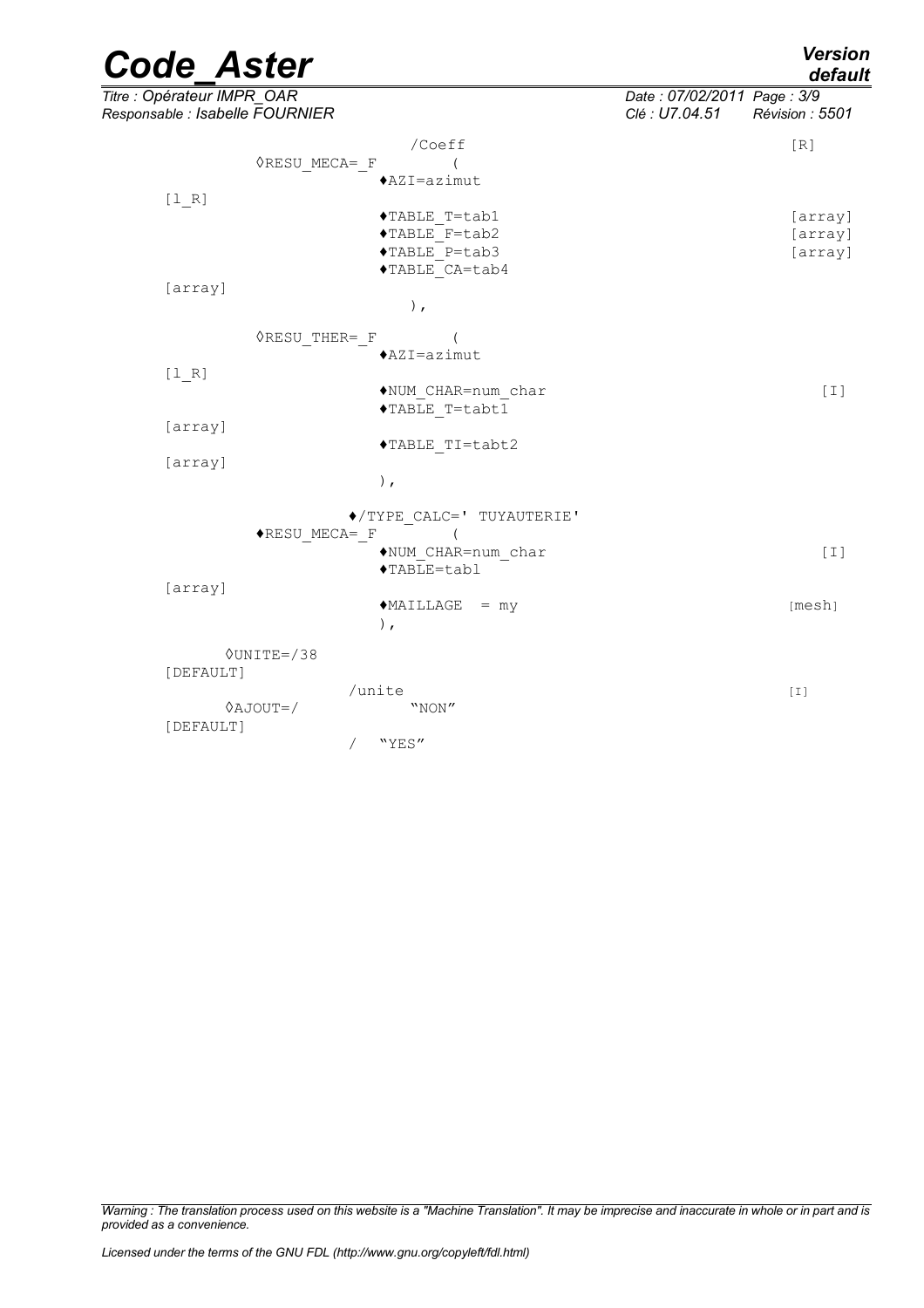| <b>Code Aster</b>                                             |                                                                   |                                              | <b>Version</b><br>default     |  |
|---------------------------------------------------------------|-------------------------------------------------------------------|----------------------------------------------|-------------------------------|--|
| Titre : Opérateur IMPR_OAR<br>Responsable : Isabelle FOURNIER |                                                                   | Date: 07/02/2011 Page: 3/9<br>Clé : U7.04.51 | Révision: 5501                |  |
| <b>ORESU MECA= F</b>                                          | /Coeff<br>◆AZI=azimut                                             |                                              | [R]                           |  |
| $[1_R]$                                                       | ◆TABLE T=tab1<br>◆TABLE F=tab2<br>◆TABLE P=tab3<br>◆TABLE CA=tab4 |                                              | [array]<br>[array]<br>[array] |  |
| [array]                                                       | $\,$ ,                                                            |                                              |                               |  |
| <b>ORESU THER= F</b><br>[1 R]                                 | $AZI = azimut$                                                    |                                              |                               |  |
| [array]                                                       | NUM CHAR=num_char<br>◆TABLE T=tabt1                               |                                              | $\lceil 1 \rceil$             |  |
| [array]                                                       | ◆TABLE TI=tabt2<br>$)$ ,                                          |                                              |                               |  |
| ◆RESU MECA= F                                                 | ◆/TYPE CALC=' TUYAUTERIE'<br>$\left($<br>◆NUM CHAR=num char       |                                              | $[1]$                         |  |
| [array]                                                       | ◆TABLE=tabl<br>$*$ MAILLAGE = my<br>$\,$ ,                        |                                              | [mesh]                        |  |
| $\Diamond$ UNITE=/38<br>[DEFAULT]                             |                                                                   |                                              |                               |  |
| $0AJOUT=$<br>[DEFAULT]                                        | /unite<br>"NON"<br>"YES"<br>$\sqrt{2}$                            |                                              | $\left[1\right]$              |  |

*Warning : The translation process used on this website is a "Machine Translation". It may be imprecise and inaccurate in whole or in part and is provided as a convenience.*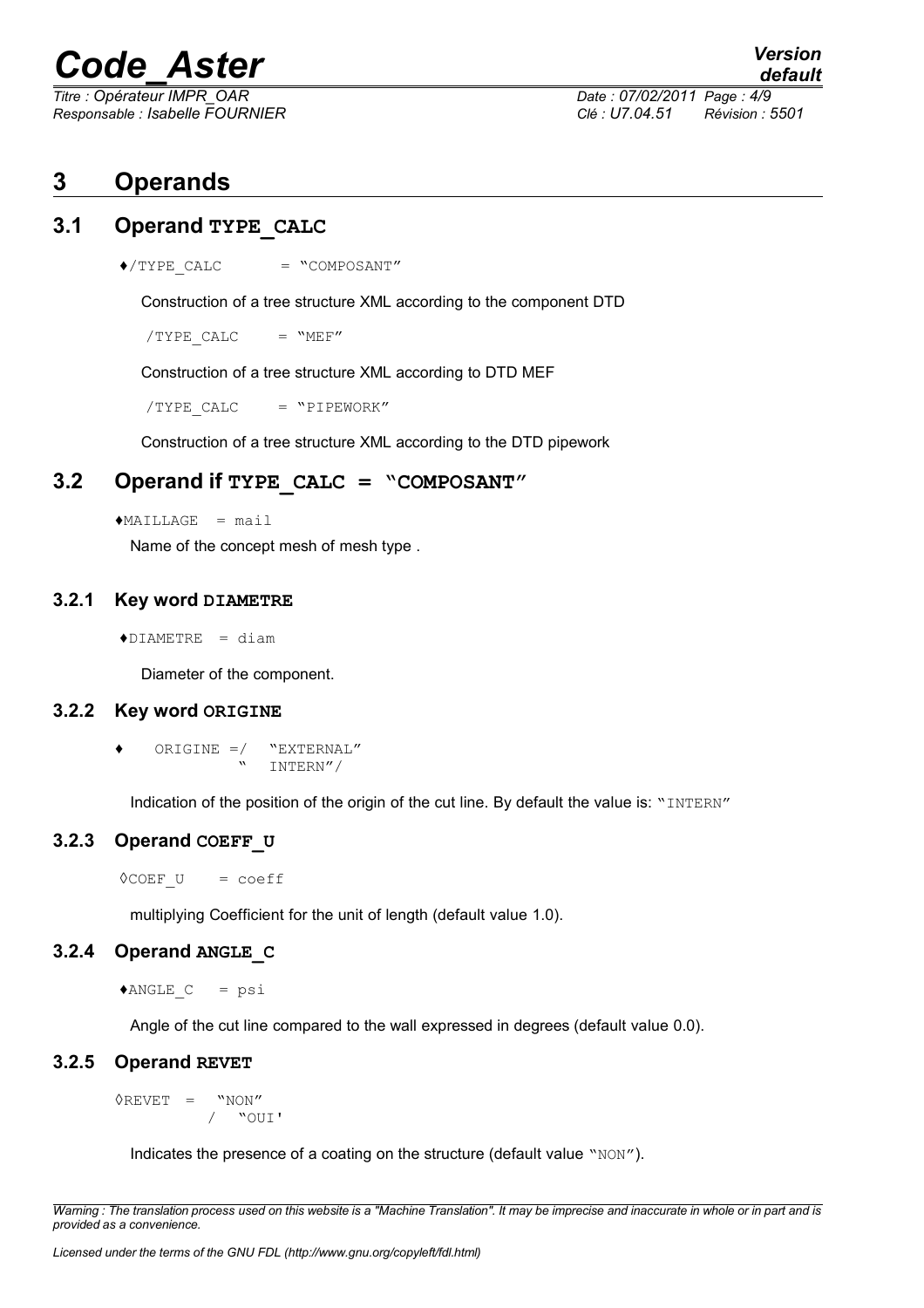*Responsable : Isabelle FOURNIER Clé : U7.04.51 Révision : 5501*

*Titre : Opérateur IMPR\_OAR Date : 07/02/2011 Page : 4/9*

# **3 Operands**

### **3.1 Operand TYPE\_CALC**

 $\triangle$ /TYPE CALC = "COMPOSANT"

Construction of a tree structure XML according to the component DTD

 $/$ TYPE CALC = "MEF"

Construction of a tree structure XML according to DTD MEF

 $/$ TYPE CALC = "PIPEWORK"

Construction of a tree structure XML according to the DTD pipework

#### **3.2 Operand if TYPE\_CALC = "COMPOSANT"**

 $*$ MAILLAGE = mail

Name of the concept mesh of mesh type .

#### **3.2.1 Key word DIAMETRE**

 $\triangle$ DIAMETRE = diam

Diameter of the component.

#### **3.2.2 Key word ORIGINE**

ORIGINE  $=$ / "EXTERNAL" " INTERN"/

Indication of the position of the origin of the cut line. By default the value is: "INTERN"

#### **3.2.3 Operand COEFF\_U**

 $\Diamond$ COEF U = coeff

multiplying Coefficient for the unit of length (default value 1.0).

#### **3.2.4 Operand ANGLE\_C**

 $*$ ANGLE  $C$  = psi

Angle of the cut line compared to the wall expressed in degrees (default value 0.0).

#### **3.2.5 Operand REVET**

 $\Diamond$ REVET = "NON" / "OUI'

Indicates the presence of a coating on the structure (default value "NON").

*Warning : The translation process used on this website is a "Machine Translation". It may be imprecise and inaccurate in whole or in part and is provided as a convenience.*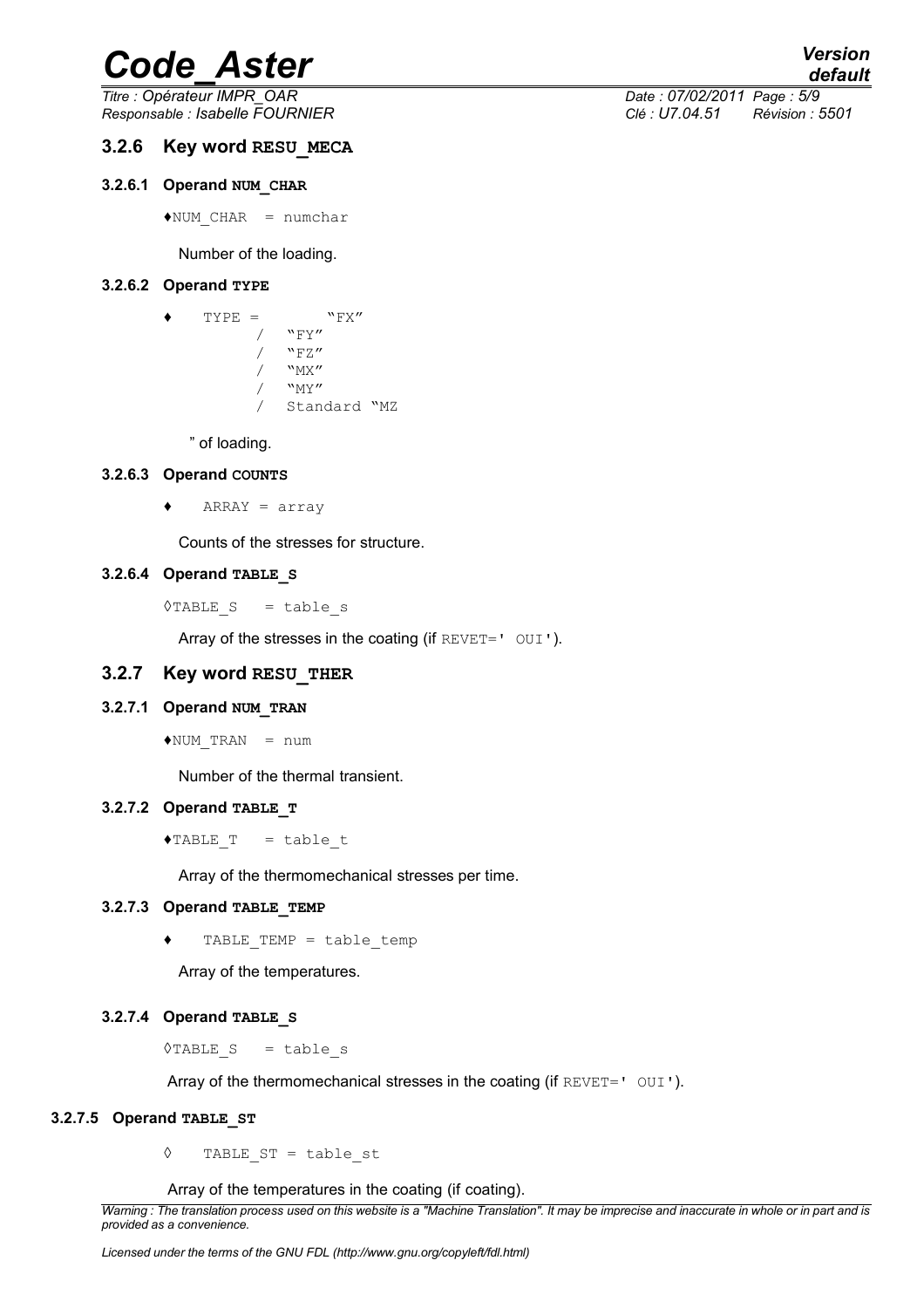*Titre : Opérateur IMPR\_OAR Date : 07/02/2011 Page : 5/9*

#### **3.2.6 Key word RESU\_MECA**

#### **3.2.6.1 Operand NUM\_CHAR**

 $*$ NUM CHAR = numchar

#### Number of the loading.

#### **3.2.6.2 Operand TYPE**

| ◀ | $TYPE =$ | $"$ FX"      |  |  |
|---|----------|--------------|--|--|
|   |          | $"$ $FY"$    |  |  |
|   |          | "FZ"         |  |  |
|   |          | $"$ MX"      |  |  |
|   |          | $"$ MY"      |  |  |
|   |          | Standard "MZ |  |  |

" of loading.

#### **3.2.6.3 Operand COUNTS**

 $\triangleleft$  ARRAY = array

Counts of the stresses for structure.

#### **3.2.6.4 Operand TABLE\_S**

 $\Diamond$ TABLE S = table s

Array of the stresses in the coating (if REVET=' OUI').

#### **3.2.7 Key word RESU\_THER**

#### **3.2.7.1 Operand NUM\_TRAN**

 $*$ NUM TRAN = num

Number of the thermal transient.

#### **3.2.7.2 Operand TABLE\_T**

 $\triangle$ TABLE T = table t

Array of the thermomechanical stresses per time.

#### **3.2.7.3 Operand TABLE\_TEMP**

TABLE TEMP = table\_temp

Array of the temperatures.

#### **3.2.7.4 Operand TABLE\_S**

 $\Diamond$ TABLE S = table s

Array of the thermomechanical stresses in the coating (if  $REVET = '$  OUI').

#### **3.2.7.5 Operand TABLE\_ST**

◊ TABLE\_ST = table\_st

Array of the temperatures in the coating (if coating).

*Warning : The translation process used on this website is a "Machine Translation". It may be imprecise and inaccurate in whole or in part and is provided as a convenience.*

*Responsable : Isabelle FOURNIER Clé : U7.04.51 Révision : 5501*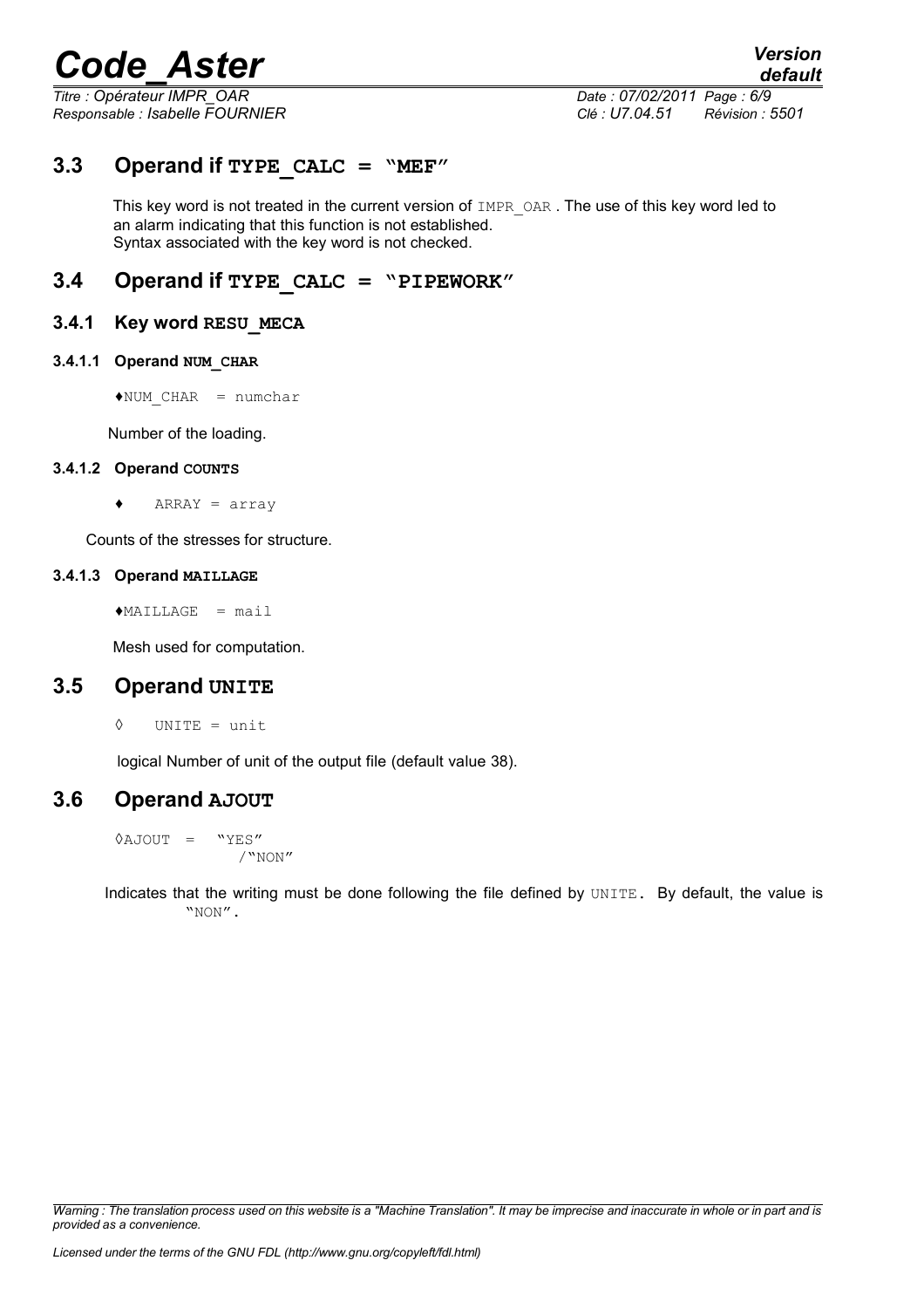*Titre : Opérateur IMPR\_OAR Date : 07/02/2011 Page : 6/9*

*Responsable : Isabelle FOURNIER Clé : U7.04.51 Révision : 5501*

### **3.3 Operand if TYPE\_CALC = "MEF"**

This key word is not treated in the current version of IMPR OAR. The use of this key word led to an alarm indicating that this function is not established. Syntax associated with the key word is not checked.

### **3.4 Operand if TYPE\_CALC = "PIPEWORK"**

#### **3.4.1 Key word RESU\_MECA**

#### **3.4.1.1 Operand NUM\_CHAR**

 $*$ NUM CHAR = numchar

Number of the loading.

#### **3.4.1.2 Operand COUNTS**

 $\triangleleft$  ARRAY = array

Counts of the stresses for structure.

#### **3.4.1.3 Operand MAILLAGE**

 $MATLLAGE = mail$ 

Mesh used for computation.

### **3.5 Operand UNITE**

◊ UNITE = unit

logical Number of unit of the output file (default value 38).

### **3.6 Operand AJOUT**

 $\Diamond$ AJOUT = "YES" /"NON"

Indicates that the writing must be done following the file defined by UNITE. By default, the value is "NON".

*Warning : The translation process used on this website is a "Machine Translation". It may be imprecise and inaccurate in whole or in part and is provided as a convenience.*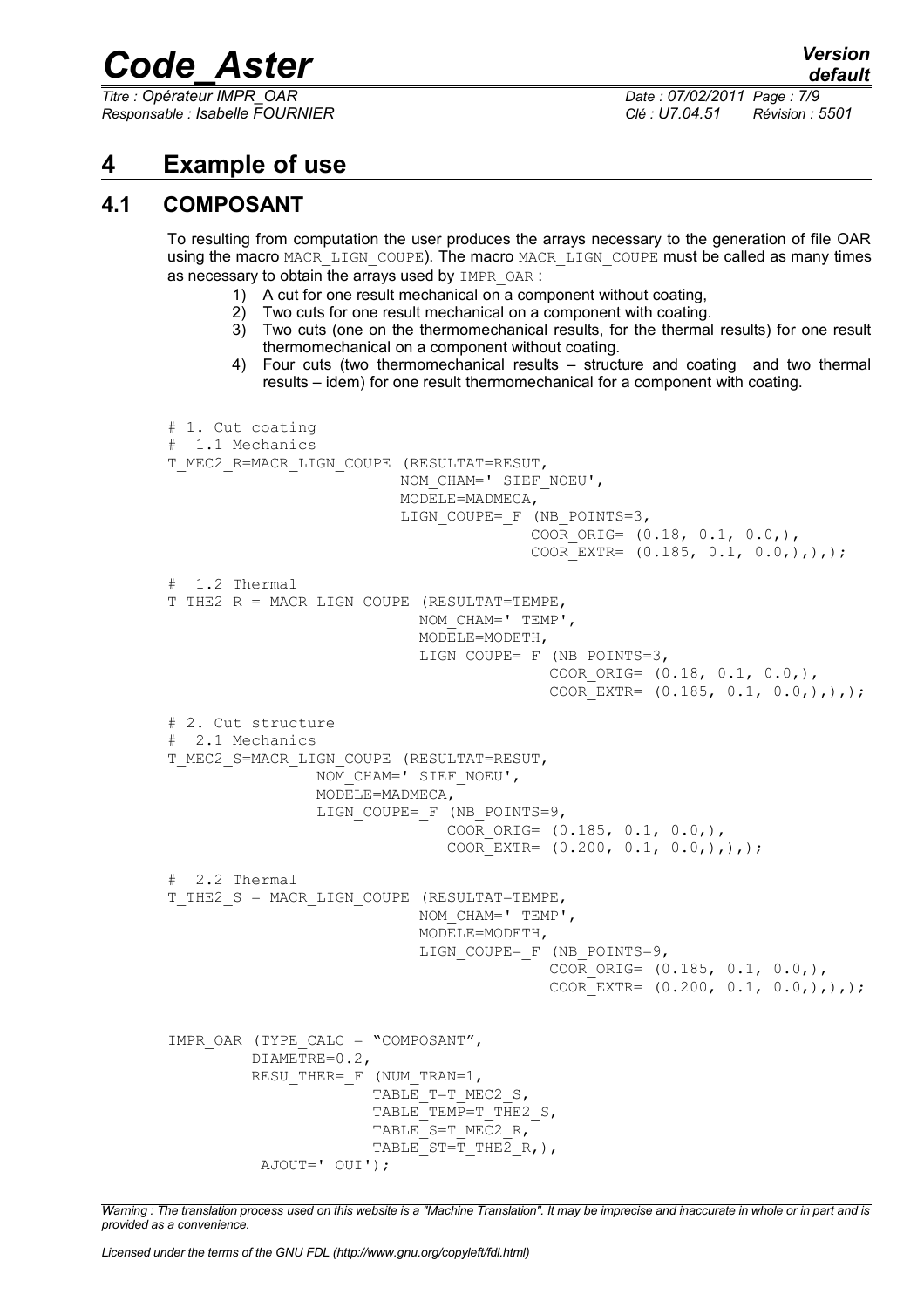*Titre : Opérateur IMPR\_OAR Date : 07/02/2011 Page : 7/9 Responsable : Isabelle FOURNIER Clé : U7.04.51 Révision : 5501*

*default*

**4 Example of use**

## **4.1 COMPOSANT**

To resulting from computation the user produces the arrays necessary to the generation of file OAR using the macro MACR\_LIGN\_COUPE). The macro MACR\_LIGN\_COUPE must be called as many times as necessary to obtain the arrays used by IMPR OAR :

- 1) A cut for one result mechanical on a component without coating,
- 2) Two cuts for one result mechanical on a component with coating.
- 3) Two cuts (one on the thermomechanical results, for the thermal results) for one result thermomechanical on a component without coating.
- 4) Four cuts (two thermomechanical results structure and coating and two thermal results – idem) for one result thermomechanical for a component with coating.

```
# 1. Cut coating
 1.1 Mechanics
T_MEC2_R=MACR_LIGN_COUPE (RESULTAT=RESUT, 
                         NOM_CHAM=' SIEF_NOEU',
                          MODELE=MADMECA, 
                         LIGN_COUPE=_F (NB_POINTS=3,
                                        COOR ORIG= (0.18, 0.1, 0.0,),
                                        COOR EXTR= (0.185, 0.1, 0.0,),),# 1.2 Thermal
T_THE2_R = MACR_LIGN_COUPE (RESULTAT=TEMPE,
                            NOM_CHAM=' TEMP', 
                            MODELE=MODETH, 
                           LIGN_COUPE=_F (NB_POINTS=3,
                                          COOR ORIG= (0.18, 0.1, 0.0,),COOR EXTR= (0.185, 0.1, 0.0,),),# 2. Cut structure
# 2.1 Mechanics
T_MEC2_S=MACR_LIGN_COUPE (RESULTAT=RESUT,
                 NOM_CHAM=' SIEF_NOEU', 
                 MODELE=MADMECA, 
                LIGN_COUPE=_F (NB_POINTS=9,
                               COOR ORIG= (0.185, 0.1, 0.0,),
                               COOR EXTR= (0.200, 0.1, 0.0,),),;
# 2.2 Thermal
T_THE2_S = MACR_LIGN_COUPE (RESULTAT=TEMPE,
                            NOM_CHAM=' TEMP', 
                            MODELE=MODETH, 
                            LIGN_COUPE=_F (NB_POINTS=9,
                                          COOR ORIG= (0.185, 0.1, 0.0,),
                                          COOR EXTR= (0.200, 0.1, 0.0,),),IMPR_OAR (TYPE_CALC = "COMPOSANT",
          DIAMETRE=0.2, 
         RESU THER= F (NUM TRAN=1,
                      TABLE T=T MEC2 S,
                      TABLE TEMP=T THE2 S,
                      TABLE S=T_MEC2_R,
                      TABLE ST=T THE2 R, ),
           AJOUT=' OUI');
```
*Warning : The translation process used on this website is a "Machine Translation". It may be imprecise and inaccurate in whole or in part and is provided as a convenience.*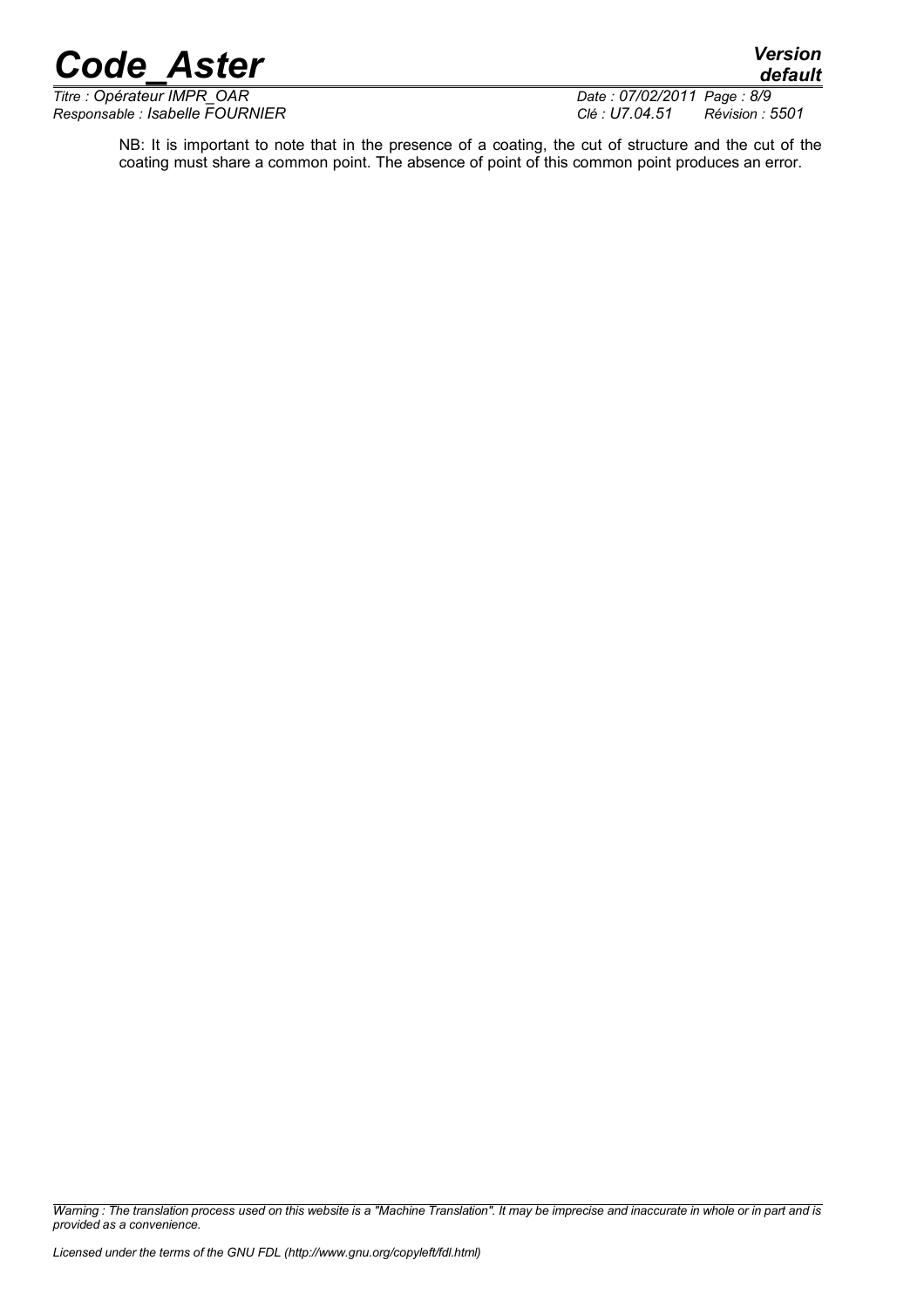*default*

*Titre : Opérateur IMPR\_OAR Date : 07/02/2011 Page : 8/9*

*Responsable : Isabelle FOURNIER Clé : U7.04.51 Révision : 5501*

NB: It is important to note that in the presence of a coating, the cut of structure and the cut of the coating must share a common point. The absence of point of this common point produces an error.

*Warning : The translation process used on this website is a "Machine Translation". It may be imprecise and inaccurate in whole or in part and is provided as a convenience.*